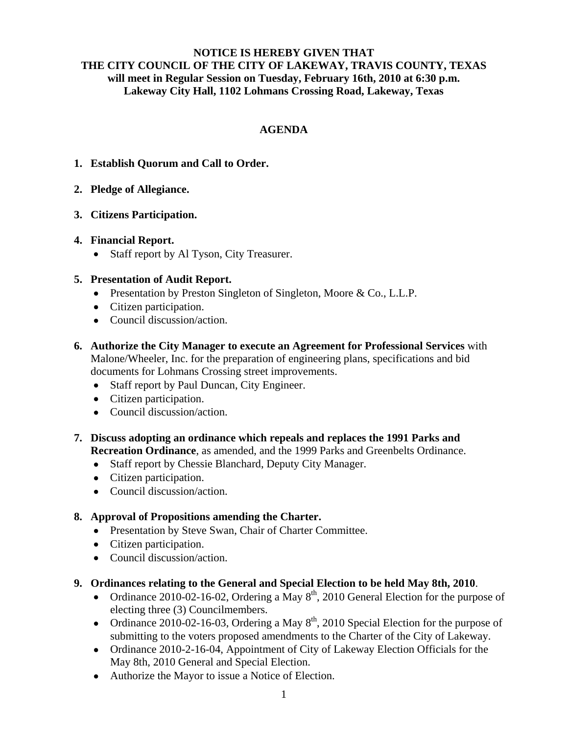## **NOTICE IS HEREBY GIVEN THAT THE CITY COUNCIL OF THE CITY OF LAKEWAY, TRAVIS COUNTY, TEXAS will meet in Regular Session on Tuesday, February 16th, 2010 at 6:30 p.m. Lakeway City Hall, 1102 Lohmans Crossing Road, Lakeway, Texas**

# **AGENDA**

- **1. Establish Quorum and Call to Order.**
- **2. Pledge of Allegiance.**
- **3. Citizens Participation.**

## **4. Financial Report.**

• Staff report by Al Tyson, City Treasurer.

## **5. Presentation of Audit Report.**

- Presentation by Preston Singleton of Singleton, Moore & Co., L.L.P.
- Citizen participation.
- Council discussion/action.
- **6. Authorize the City Manager to execute an Agreement for Professional Services** with Malone/Wheeler, Inc. for the preparation of engineering plans, specifications and bid documents for Lohmans Crossing street improvements.
	- Staff report by Paul Duncan, City Engineer.
	- Citizen participation.
	- Council discussion/action.
- **7. Discuss adopting an ordinance which repeals and replaces the 1991 Parks and Recreation Ordinance**, as amended, and the 1999 Parks and Greenbelts Ordinance.
	- Staff report by Chessie Blanchard, Deputy City Manager.
	- Citizen participation.
	- Council discussion/action.

## **8. Approval of Propositions amending the Charter.**

- Presentation by Steve Swan, Chair of Charter Committee.
- Citizen participation.
- Council discussion/action.
- **9. Ordinances relating to the General and Special Election to be held May 8th, 2010**.
	- Ordinance 2010-02-16-02, Ordering a May  $8<sup>th</sup>$ , 2010 General Election for the purpose of electing three (3) Councilmembers.
	- Ordinance 2010-02-16-03, Ordering a May  $8<sup>th</sup>$ , 2010 Special Election for the purpose of submitting to the voters proposed amendments to the Charter of the City of Lakeway.
	- Ordinance 2010-2-16-04, Appointment of City of Lakeway Election Officials for the May 8th, 2010 General and Special Election.
	- Authorize the Mayor to issue a Notice of Election.